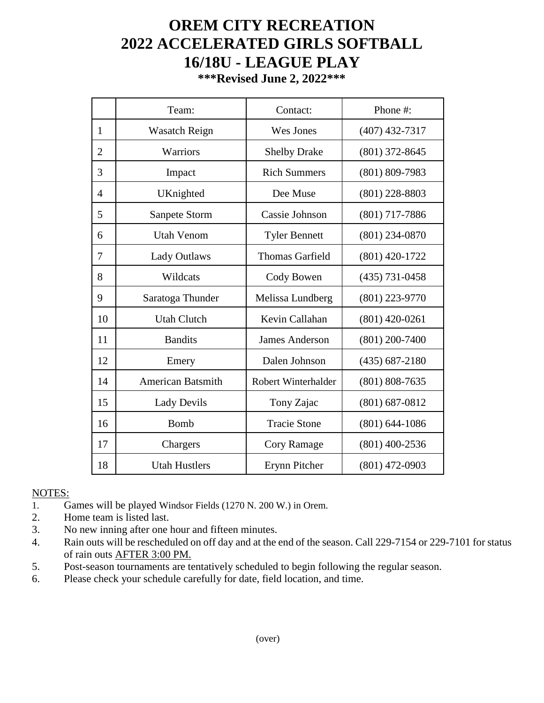## **OREM CITY RECREATION 2022 ACCELERATED GIRLS SOFTBALL 16/18U - LEAGUE PLAY**

**\*\*\*Revised June 2, 2022\*\*\***

|                | Team:                    | Contact:               | Phone #:           |
|----------------|--------------------------|------------------------|--------------------|
| $\mathbf{1}$   | <b>Wasatch Reign</b>     | Wes Jones              | $(407)$ 432-7317   |
| $\overline{2}$ | Warriors                 | <b>Shelby Drake</b>    | $(801)$ 372-8645   |
| 3              | Impact                   | <b>Rich Summers</b>    | $(801) 809 - 7983$ |
| $\overline{4}$ | UKnighted                | Dee Muse               | $(801)$ 228-8803   |
| 5              | Sanpete Storm            | Cassie Johnson         | $(801)$ 717-7886   |
| 6              | <b>Utah Venom</b>        | <b>Tyler Bennett</b>   | $(801)$ 234-0870   |
| 7              | <b>Lady Outlaws</b>      | <b>Thomas Garfield</b> | $(801)$ 420-1722   |
| 8              | Wildcats                 | Cody Bowen             | $(435) 731 - 0458$ |
| 9              | Saratoga Thunder         | Melissa Lundberg       | $(801)$ 223-9770   |
| 10             | <b>Utah Clutch</b>       | Kevin Callahan         | $(801)$ 420-0261   |
| 11             | <b>Bandits</b>           | <b>James Anderson</b>  | $(801)$ 200-7400   |
| 12             | Emery                    | Dalen Johnson          | $(435) 687 - 2180$ |
| 14             | <b>American Batsmith</b> | Robert Winterhalder    | $(801) 808 - 7635$ |
| 15             | <b>Lady Devils</b>       | Tony Zajac             | $(801)$ 687-0812   |
| 16             | <b>Bomb</b>              | <b>Tracie Stone</b>    | $(801) 644 - 1086$ |
| 17             | Chargers                 | Cory Ramage            | $(801)$ 400-2536   |
| 18             | <b>Utah Hustlers</b>     | Erynn Pitcher          | $(801)$ 472-0903   |

## NOTES:

- 1. Games will be played Windsor Fields (1270 N. 200 W.) in Orem.
- 2. Home team is listed last.
- 3. No new inning after one hour and fifteen minutes.
- 4. Rain outs will be rescheduled on off day and at the end of the season. Call 229-7154 or 229-7101 for status of rain outs AFTER 3:00 PM.
- 5. Post-season tournaments are tentatively scheduled to begin following the regular season.
- 6. Please check your schedule carefully for date, field location, and time.